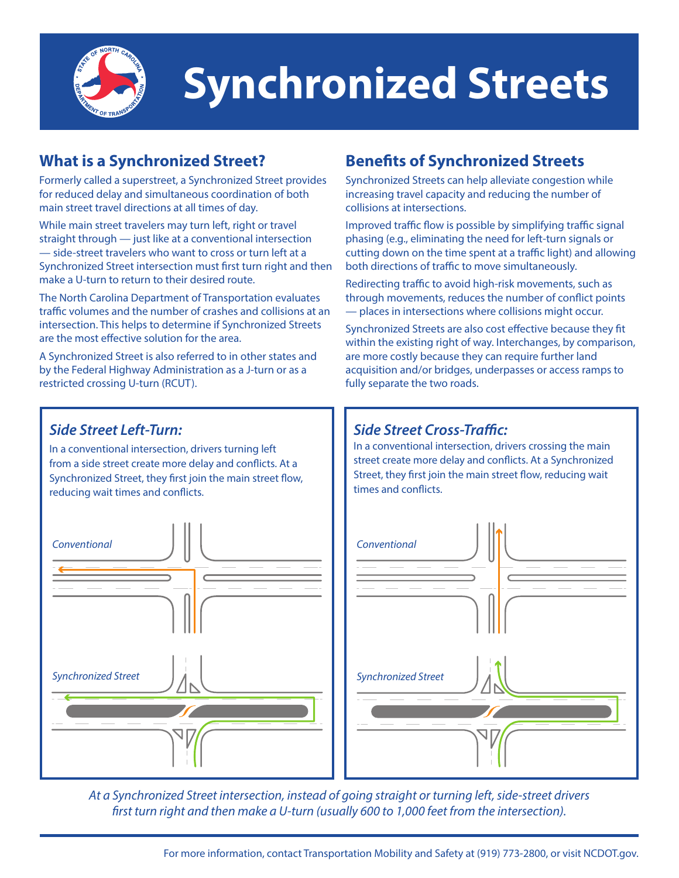

# **Synchronized Streets**

### **What is a Synchronized Street?**

Formerly called a superstreet, a Synchronized Street provides for reduced delay and simultaneous coordination of both main street travel directions at all times of day.

While main street travelers may turn left, right or travel straight through — just like at a conventional intersection — side-street travelers who want to cross or turn left at a Synchronized Street intersection must first turn right and then make a U-turn to return to their desired route.

The North Carolina Department of Transportation evaluates traffic volumes and the number of crashes and collisions at an intersection. This helps to determine if Synchronized Streets are the most effective solution for the area.

A Synchronized Street is also referred to in other states and by the Federal Highway Administration as a J-turn or as a restricted crossing U-turn (RCUT).

## **Benefits of Synchronized Streets**

Synchronized Streets can help alleviate congestion while increasing travel capacity and reducing the number of collisions at intersections.

Improved traffic flow is possible by simplifying traffic signal phasing (e.g., eliminating the need for left-turn signals or cutting down on the time spent at a traffic light) and allowing both directions of traffic to move simultaneously.

Redirecting traffic to avoid high-risk movements, such as through movements, reduces the number of conflict points — places in intersections where collisions might occur.

Synchronized Streets are also cost effective because they fit within the existing right of way. Interchanges, by comparison, are more costly because they can require further land acquisition and/or bridges, underpasses or access ramps to fully separate the two roads.

#### *Side Street Left-Turn:*

In a conventional intersection, drivers turning left from a side street create more delay and conflicts. At a Synchronized Street, they first join the main street flow, reducing wait times and conflicts.



#### *Side Street Cross-Traffic:*

In a conventional intersection, drivers crossing the main street create more delay and conflicts. At a Synchronized Street, they first join the main street flow, reducing wait times and conflicts.



*At a Synchronized Street intersection, instead of going straight or turning left, side-street drivers first turn right and then make a U-turn (usually 600 to 1,000 feet from the intersection).*